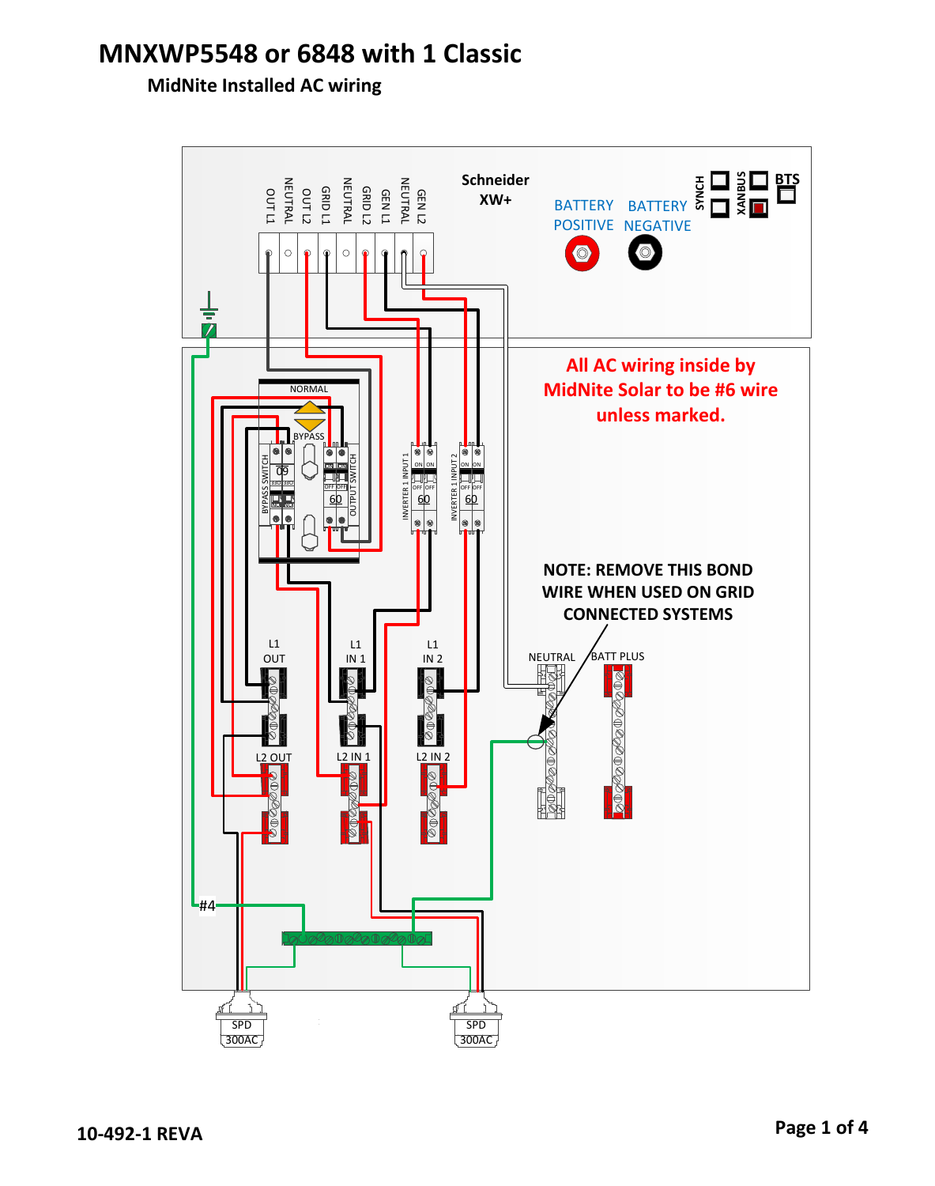## **MidNite Installed AC wiring**

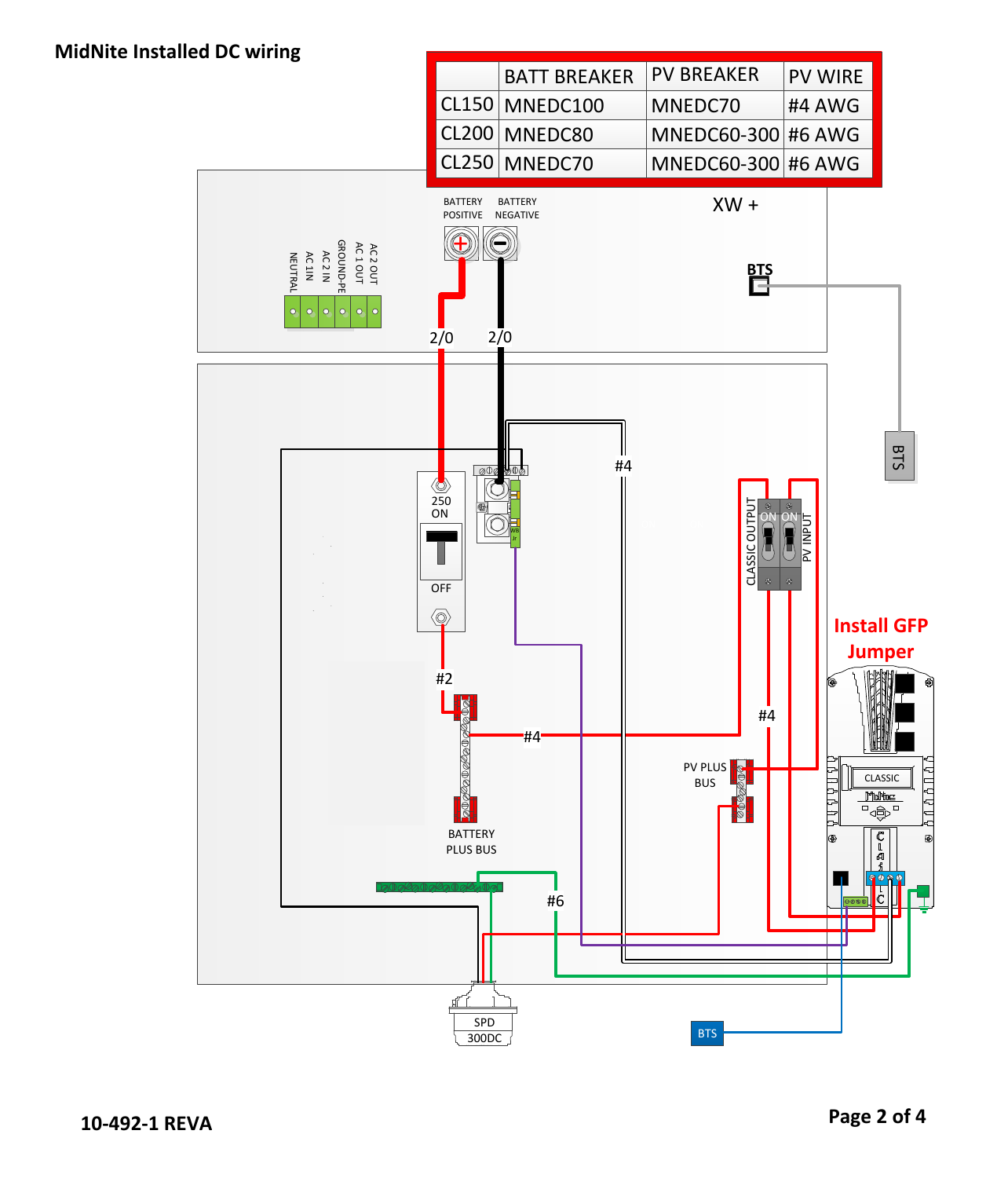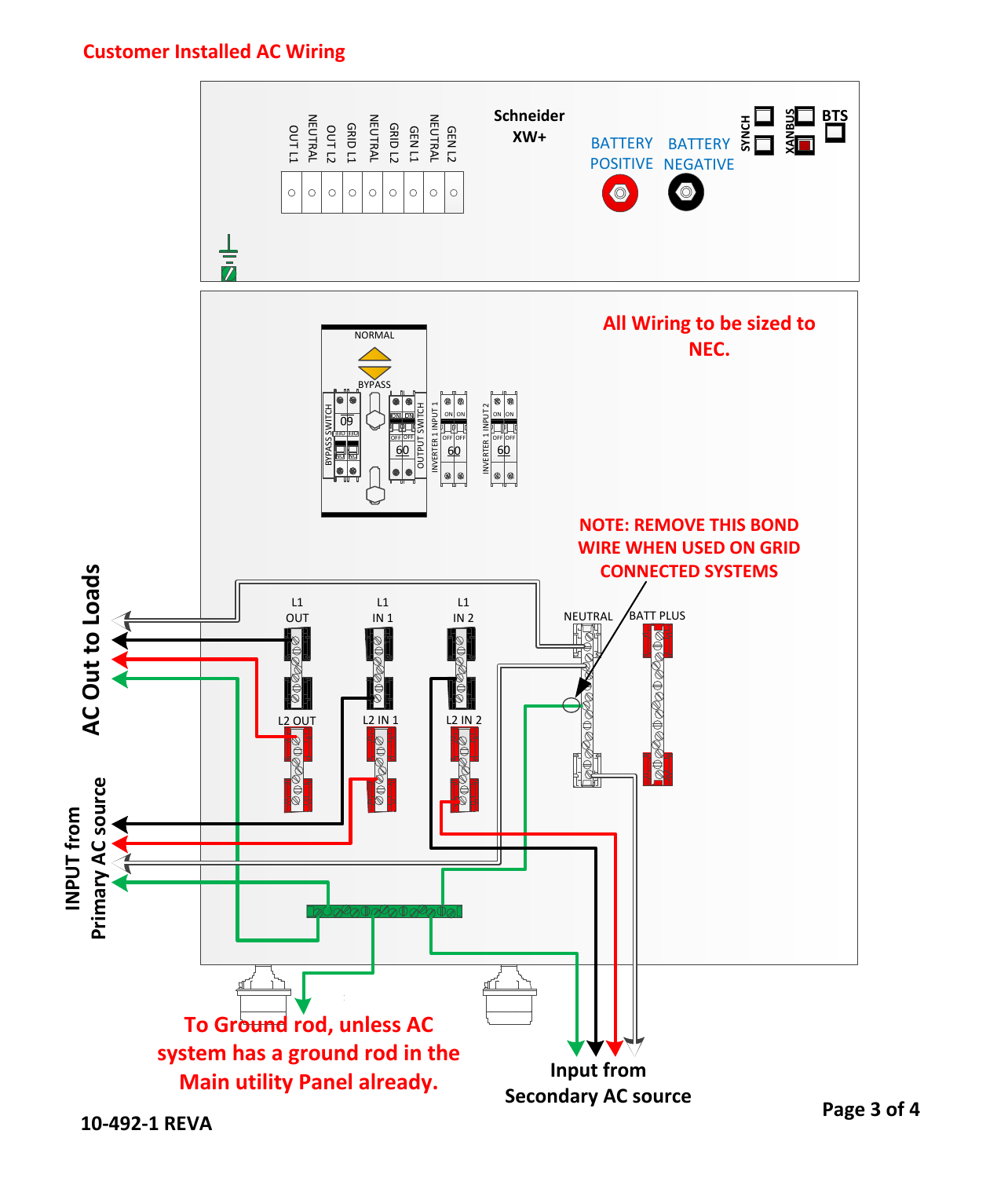## **Customer Installed AC Wiring**



**10-492-1 REVA**